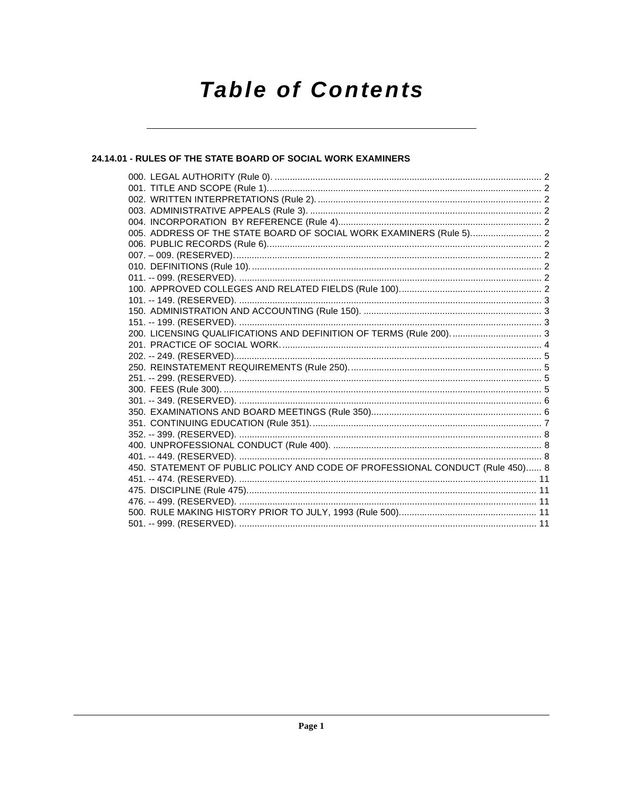# **Table of Contents**

# 24.14.01 - RULES OF THE STATE BOARD OF SOCIAL WORK EXAMINERS

| 005. ADDRESS OF THE STATE BOARD OF SOCIAL WORK EXAMINERS (Rule 5) 2           |  |
|-------------------------------------------------------------------------------|--|
|                                                                               |  |
|                                                                               |  |
|                                                                               |  |
|                                                                               |  |
|                                                                               |  |
|                                                                               |  |
|                                                                               |  |
|                                                                               |  |
|                                                                               |  |
|                                                                               |  |
|                                                                               |  |
|                                                                               |  |
|                                                                               |  |
|                                                                               |  |
|                                                                               |  |
|                                                                               |  |
|                                                                               |  |
|                                                                               |  |
|                                                                               |  |
|                                                                               |  |
| 450. STATEMENT OF PUBLIC POLICY AND CODE OF PROFESSIONAL CONDUCT (Rule 450) 8 |  |
|                                                                               |  |
|                                                                               |  |
|                                                                               |  |
|                                                                               |  |
|                                                                               |  |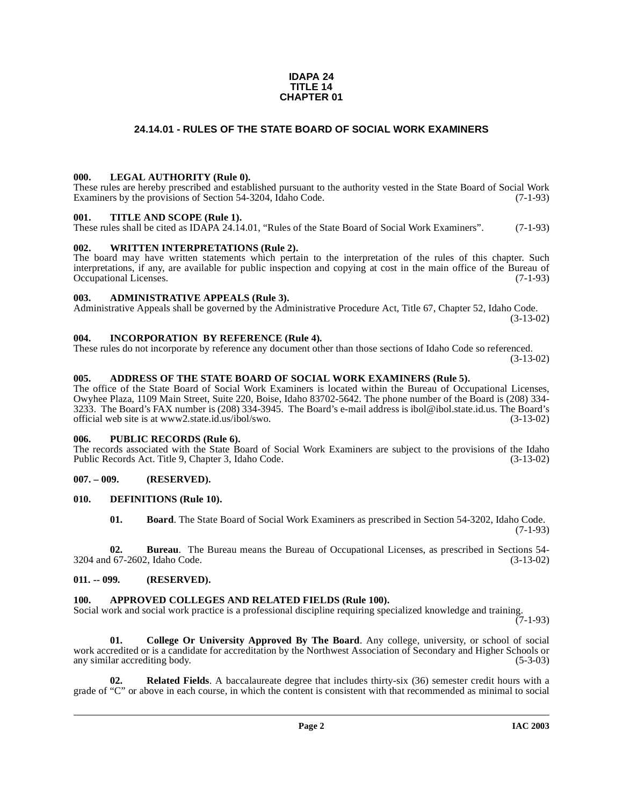#### **IDAPA 24 TITLE 14 CHAPTER 01**

# **24.14.01 - RULES OF THE STATE BOARD OF SOCIAL WORK EXAMINERS**

#### <span id="page-1-1"></span><span id="page-1-0"></span>**000. LEGAL AUTHORITY (Rule 0).**

These rules are hereby prescribed and established pursuant to the authority vested in the State Board of Social Work Examiners by the provisions of Section 54-3204, Idaho Code. (7-1-93)

#### <span id="page-1-2"></span>**001. TITLE AND SCOPE (Rule 1).**

These rules shall be cited as IDAPA 24.14.01, "Rules of the State Board of Social Work Examiners". (7-1-93)

### <span id="page-1-3"></span>**002. WRITTEN INTERPRETATIONS (Rule 2).**

The board may have written statements which pertain to the interpretation of the rules of this chapter. Such interpretations, if any, are available for public inspection and copying at cost in the main office of the Bureau of Occupational Licenses. (7-1-93) Occupational Licenses.

### <span id="page-1-4"></span>**003. ADMINISTRATIVE APPEALS (Rule 3).**

Administrative Appeals shall be governed by the Administrative Procedure Act, Title 67, Chapter 52, Idaho Code. (3-13-02)

### <span id="page-1-5"></span>**004. INCORPORATION BY REFERENCE (Rule 4).**

These rules do not incorporate by reference any document other than those sections of Idaho Code so referenced. (3-13-02)

### <span id="page-1-6"></span>**005. ADDRESS OF THE STATE BOARD OF SOCIAL WORK EXAMINERS (Rule 5).**

[The office of the State Board of Social Work Examiners is located within the Bureau of Occupational Licenses,](mailto:ibol@ibol.state.id.us) Owyhee Plaza, 1109 Main Street, Suite 220, Boise, Idaho 83702-5642. The phone number of the Board is (208) 334- 3233. The Board's FAX number is (208) 334-3945. The Board's e-mail address is ibol@ibol.state.id.us. The Board's [official web site is at](mailto:ibol@ibol.state.id.us) www2.state.id.us/ibol/swo.

#### <span id="page-1-7"></span>**006. PUBLIC RECORDS (Rule 6).**

The records associated with the State Board of Social Work Examiners are subject to the provisions of the Idaho<br>Public Records Act. Title 9, Chapter 3, Idaho Code. (3-13-02) Public Records Act. Title 9, Chapter 3, Idaho Code.

# <span id="page-1-8"></span>**007. – 009. (RESERVED).**

#### <span id="page-1-9"></span>**010. DEFINITIONS (Rule 10).**

<span id="page-1-14"></span>**01. Board**. The State Board of Social Work Examiners as prescribed in Section 54-3202, Idaho Code. (7-1-93)

**02. Bureau**. The Bureau means the Bureau of Occupational Licenses, as prescribed in Sections 54- 3204 and 67-2602, Idaho Code. (3-13-02)

# <span id="page-1-10"></span>**011. -- 099. (RESERVED).**

# <span id="page-1-12"></span><span id="page-1-11"></span>**100. APPROVED COLLEGES AND RELATED FIELDS (Rule 100).**

Social work and social work practice is a professional discipline requiring specialized knowledge and training.

 $(7-1-93)$ 

<span id="page-1-13"></span>**01. College Or University Approved By The Board**. Any college, university, or school of social work accredited or is a candidate for accreditation by the Northwest Association of Secondary and Higher Schools or<br>(5-3-03) any similar accrediting body.

**Related Fields**. A baccalaureate degree that includes thirty-six (36) semester credit hours with a grade of "C" or above in each course, in which the content is consistent with that recommended as minimal to social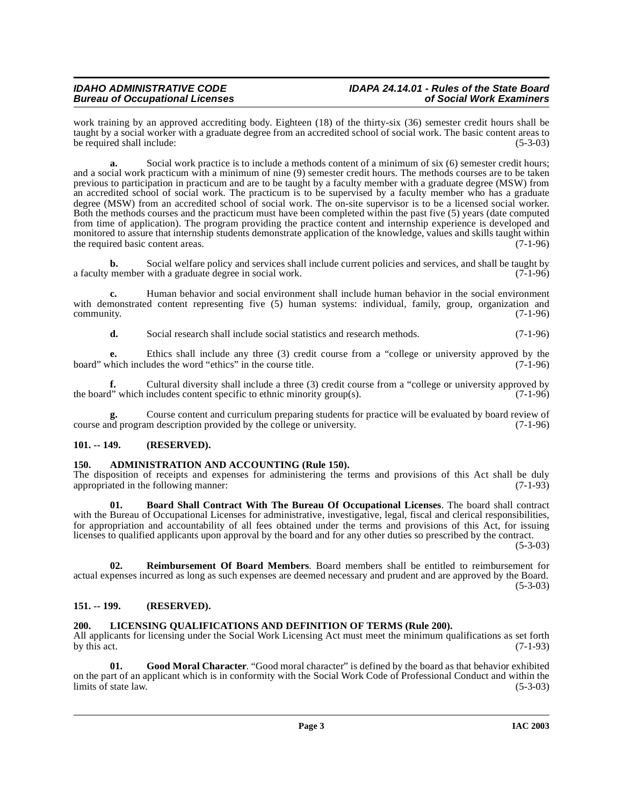work training by an approved accrediting body. Eighteen (18) of the thirty-six (36) semester credit hours shall be taught by a social worker with a graduate degree from an accredited school of social work. The basic content areas to<br>(5-3-03) be required shall include:

**a.** Social work practice is to include a methods content of a minimum of six (6) semester credit hours; and a social work practicum with a minimum of nine (9) semester credit hours. The methods courses are to be taken previous to participation in practicum and are to be taught by a faculty member with a graduate degree (MSW) from an accredited school of social work. The practicum is to be supervised by a faculty member who has a graduate degree (MSW) from an accredited school of social work. The on-site supervisor is to be a licensed social worker. Both the methods courses and the practicum must have been completed within the past five (5) years (date computed from time of application). The program providing the practice content and internship experience is developed and monitored to assure that internship students demonstrate application of the knowledge, values and skills taught within the required basic content areas. (7-1-96)

**b.** Social welfare policy and services shall include current policies and services, and shall be taught by member with a graduate degree in social work. (7-1-96) a faculty member with a graduate degree in social work.

**c.** Human behavior and social environment shall include human behavior in the social environment with demonstrated content representing five (5) human systems: individual, family, group, organization and community. (7-1-96)  $\epsilon$  (7-1-96) (7-1-96)

**d.** Social research shall include social statistics and research methods. (7-1-96)

**e.** Ethics shall include any three (3) credit course from a "college or university approved by the board" which includes the word "ethics" in the course title. (7-1-96)

**f.** Cultural diversity shall include a three (3) credit course from a "college or university approved by the board" which includes content specific to ethnic minority group(s). (7-1-96)

**g.** Course content and curriculum preparing students for practice will be evaluated by board review of nd program description provided by the college or university. (7-1-96) course and program description provided by the college or university.

# <span id="page-2-0"></span>**101. -- 149. (RESERVED).**

#### <span id="page-2-4"></span><span id="page-2-1"></span>**150. ADMINISTRATION AND ACCOUNTING (Rule 150).**

The disposition of receipts and expenses for administering the terms and provisions of this Act shall be duly appropriated in the following manner: (7-1-93) appropriated in the following manner:

<span id="page-2-5"></span>**01. Board Shall Contract With The Bureau Of Occupational Licenses**. The board shall contract with the Bureau of Occupational Licenses for administrative, investigative, legal, fiscal and clerical responsibilities, for appropriation and accountability of all fees obtained under the terms and provisions of this Act, for issuing licenses to qualified applicants upon approval by the board and for any other duties so prescribed by the contract.

(5-3-03)

<span id="page-2-8"></span>**02. Reimbursement Of Board Members**. Board members shall be entitled to reimbursement for actual expenses incurred as long as such expenses are deemed necessary and prudent and are approved by the Board. (5-3-03)

# <span id="page-2-2"></span>**151. -- 199. (RESERVED).**

# <span id="page-2-7"></span><span id="page-2-3"></span>**200. LICENSING QUALIFICATIONS AND DEFINITION OF TERMS (Rule 200).**

All applicants for licensing under the Social Work Licensing Act must meet the minimum qualifications as set forth by this act. (7-1-93) by this act.  $(7-1-93)$ 

<span id="page-2-6"></span>**01. Good Moral Character**. "Good moral character" is defined by the board as that behavior exhibited on the part of an applicant which is in conformity with the Social Work Code of Professional Conduct and within the limits of state law.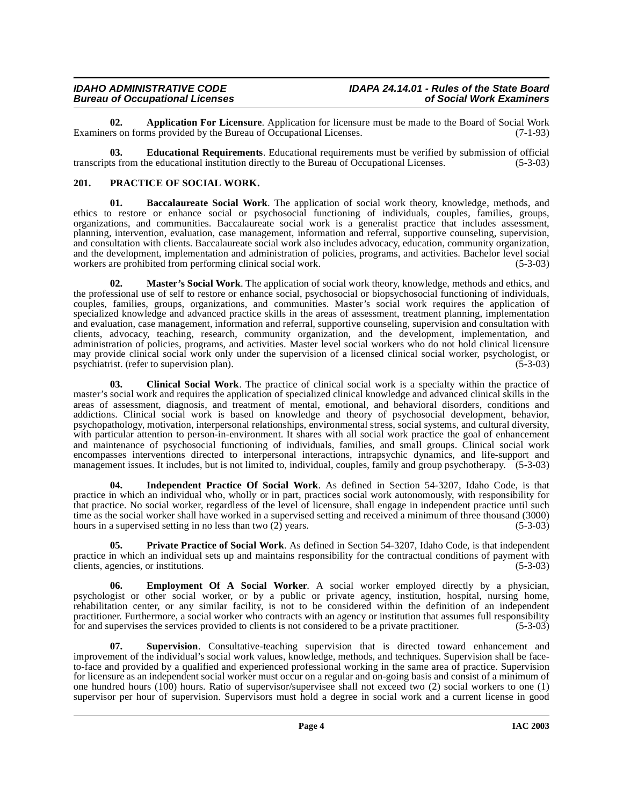<span id="page-3-1"></span>**02. Application For Licensure**. Application for licensure must be made to the Board of Social Work rs on forms provided by the Bureau of Occupational Licenses. (7-1-93) Examiners on forms provided by the Bureau of Occupational Licenses.

<span id="page-3-4"></span>**03. Educational Requirements**. Educational requirements must be verified by submission of official transcripts from the educational institution directly to the Bureau of Occupational Licenses. (5-3-03)

### <span id="page-3-8"></span><span id="page-3-0"></span>**201. PRACTICE OF SOCIAL WORK.**

<span id="page-3-2"></span>**01. Baccalaureate Social Work**. The application of social work theory, knowledge, methods, and ethics to restore or enhance social or psychosocial functioning of individuals, couples, families, groups, organizations, and communities. Baccalaureate social work is a generalist practice that includes assessment, planning, intervention, evaluation, case management, information and referral, supportive counseling, supervision, and consultation with clients. Baccalaureate social work also includes advocacy, education, community organization, and the development, implementation and administration of policies, programs, and activities. Bachelor level social workers are prohibited from performing clinical social work. (5-3-03) workers are prohibited from performing clinical social work.

<span id="page-3-7"></span>**02. Master's Social Work**. The application of social work theory, knowledge, methods and ethics, and the professional use of self to restore or enhance social, psychosocial or biopsychosocial functioning of individuals, couples, families, groups, organizations, and communities. Master's social work requires the application of specialized knowledge and advanced practice skills in the areas of assessment, treatment planning, implementation and evaluation, case management, information and referral, supportive counseling, supervision and consultation with clients, advocacy, teaching, research, community organization, and the development, implementation, and administration of policies, programs, and activities. Master level social workers who do not hold clinical licensure may provide clinical social work only under the supervision of a licensed clinical social worker, psychologist, or psychiatrist. (refer to supervision plan). (5-3-03) (5-3-03)

<span id="page-3-3"></span>**03. Clinical Social Work**. The practice of clinical social work is a specialty within the practice of master's social work and requires the application of specialized clinical knowledge and advanced clinical skills in the areas of assessment, diagnosis, and treatment of mental, emotional, and behavioral disorders, conditions and addictions. Clinical social work is based on knowledge and theory of psychosocial development, behavior, psychopathology, motivation, interpersonal relationships, environmental stress, social systems, and cultural diversity, with particular attention to person-in-environment. It shares with all social work practice the goal of enhancement and maintenance of psychosocial functioning of individuals, families, and small groups. Clinical social work encompasses interventions directed to interpersonal interactions, intrapsychic dynamics, and life-support and management issues. It includes, but is not limited to, individual, couples, family and group psychotherapy. (5-3-03)

<span id="page-3-6"></span>**04. Independent Practice Of Social Work**. As defined in Section 54-3207, Idaho Code, is that practice in which an individual who, wholly or in part, practices social work autonomously, with responsibility for that practice. No social worker, regardless of the level of licensure, shall engage in independent practice until such time as the social worker shall have worked in a supervised setting and received a minimum of three thousand (3000) hours in a supervised setting in no less than two (2) years hours in a supervised setting in no less than two  $(2)$  years.

<span id="page-3-9"></span>**05. Private Practice of Social Work**. As defined in Section 54-3207, Idaho Code, is that independent practice in which an individual sets up and maintains responsibility for the contractual conditions of payment with clients, agencies, or institutions. (5-3-03)

<span id="page-3-5"></span>**06. Employment Of A Social Worker**. A social worker employed directly by a physician, psychologist or other social worker, or by a public or private agency, institution, hospital, nursing home, rehabilitation center, or any similar facility, is not to be considered within the definition of an independent practitioner. Furthermore, a social worker who contracts with an agency or institution that assumes full responsibility for and supervises the services provided to clients is not considered to be a private practitioner. (5 for and supervises the services provided to clients is not considered to be a private practitioner.

<span id="page-3-10"></span>**07. Supervision**. Consultative-teaching supervision that is directed toward enhancement and improvement of the individual's social work values, knowledge, methods, and techniques. Supervision shall be faceto-face and provided by a qualified and experienced professional working in the same area of practice. Supervision for licensure as an independent social worker must occur on a regular and on-going basis and consist of a minimum of one hundred hours (100) hours. Ratio of supervisor/supervisee shall not exceed two (2) social workers to one (1) supervisor per hour of supervision. Supervisors must hold a degree in social work and a current license in good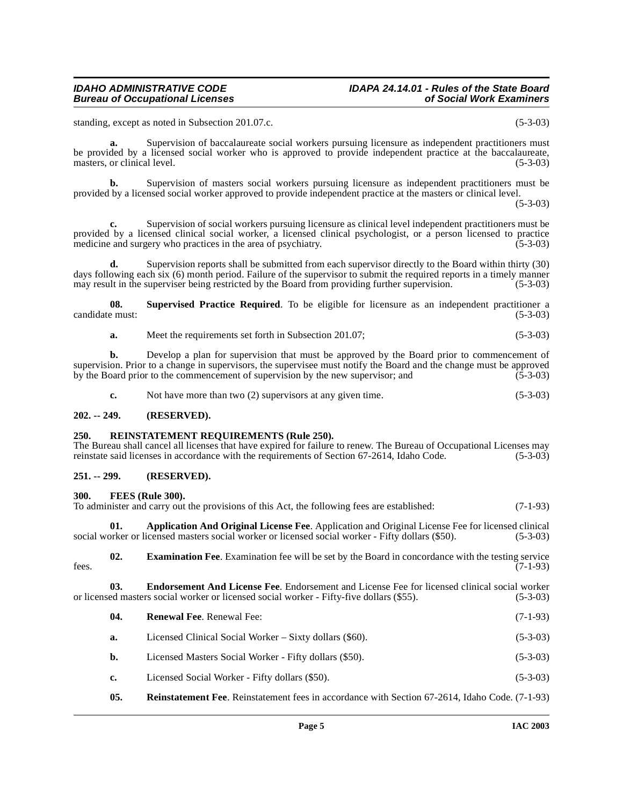# **IDAHO ADMINISTRATIVE CODE IDAPA 24.14.01 - Rules of the State Board**

standing, except as noted in Subsection 201.07.c. (5-3-03)

**a.** Supervision of baccalaureate social workers pursuing licensure as independent practitioners must be provided by a licensed social worker who is approved to provide independent practice at the baccalaureate, masters, or clinical level. (5-3-03)

**b.** Supervision of masters social workers pursuing licensure as independent practitioners must be provided by a licensed social worker approved to provide independent practice at the masters or clinical level.

 $(5-3-03)$ 

**c.** Supervision of social workers pursuing licensure as clinical level independent practitioners must be provided by a licensed clinical social worker, a licensed clinical psychologist, or a person licensed to practice medicine and surgery who practices in the area of psychiatry. (5-3-03) (5-3-03)

**d.** Supervision reports shall be submitted from each supervisor directly to the Board within thirty (30) days following each six (6) month period. Failure of the supervisor to submit the required reports in a timely manner<br>may result in the superviser being restricted by the Board from providing further supervision. (5-3-03) may result in the superviser being restricted by the Board from providing further supervision.

**08.** Supervised Practice Required. To be eligible for licensure as an independent practitioner a e must: (5-3-03) candidate must:

**a.** Meet the requirements set forth in Subsection 201.07; (5-3-03)

**b.** Develop a plan for supervision that must be approved by the Board prior to commencement of supervision. Prior to a change in supervisors, the supervisee must notify the Board and the change must be approved<br>by the Board prior to the commencement of supervision by the new supervisor; and (5-3-03) by the Board prior to the commencement of supervision by the new supervisor; and

<span id="page-4-9"></span>**c.** Not have more than two (2) supervisors at any given time. (5-3-03)

#### <span id="page-4-0"></span>**202. -- 249. (RESERVED).**

#### <span id="page-4-1"></span>**250. REINSTATEMENT REQUIREMENTS (Rule 250).**

The Bureau shall cancel all licenses that have expired for failure to renew. The Bureau of Occupational Licenses may reinstate said licenses in accordance with the requirements of Section 67-2614, Idaho Code. (5-3-03)

# <span id="page-4-2"></span>**251. -- 299. (RESERVED).**

#### <span id="page-4-7"></span><span id="page-4-3"></span>**300. FEES (Rule 300).**

To administer and carry out the provisions of this Act, the following fees are established: (7-1-93)

<span id="page-4-4"></span>**01. Application And Original License Fee**. Application and Original License Fee for licensed clinical orker or licensed masters social worker or licensed social worker - Fifty dollars (\$50). (5-3-03) social worker or licensed masters social worker or licensed social worker - Fifty dollars (\$50).

<span id="page-4-6"></span>**02. Examination Fee**. Examination fee will be set by the Board in concordance with the testing service (7-1-93)  $f$ ees.  $(7-1-93)$ 

**03. Endorsement And License Fee**. Endorsement and License Fee for licensed clinical social worker ed masters social worker or licensed social worker - Fifty-five dollars (\$55). (5-3-03) or licensed masters social worker or licensed social worker - Fifty-five dollars (\$55).

<span id="page-4-10"></span><span id="page-4-8"></span><span id="page-4-5"></span>

| 04.            | <b>Renewal Fee.</b> Renewal Fee:                        | $(7-1-93)$ |
|----------------|---------------------------------------------------------|------------|
| a.             | Licensed Clinical Social Worker – Sixty dollars (\$60). | $(5-3-03)$ |
| b.             | Licensed Masters Social Worker - Fifty dollars (\$50).  | $(5-3-03)$ |
| $\mathbf{c}$ . | Licensed Social Worker - Fifty dollars (\$50).          | $(5-3-03)$ |
|                |                                                         |            |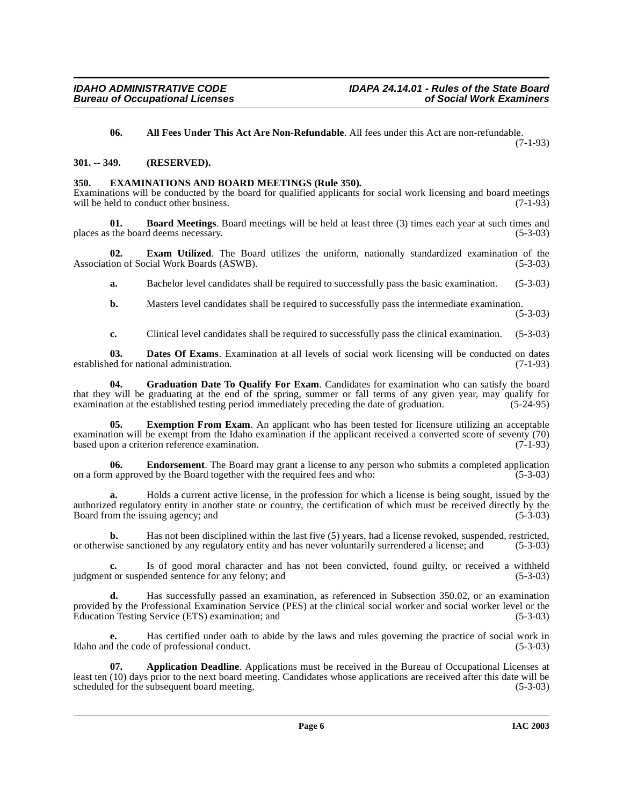<span id="page-5-2"></span>**06. All Fees Under This Act Are Non-Refundable**. All fees under this Act are non-refundable.

(7-1-93)

# <span id="page-5-0"></span>**301. -- 349. (RESERVED).**

# <span id="page-5-8"></span><span id="page-5-1"></span>**350. EXAMINATIONS AND BOARD MEETINGS (Rule 350).**

Examinations will be conducted by the board for qualified applicants for social work licensing and board meetings will be held to conduct other business. (7-1-93)

<span id="page-5-4"></span>**01. Board Meetings**. Board meetings will be held at least three (3) times each year at such times and the board deems necessary. (5-3-03) places as the board deems necessary.

**02. Exam Utilized**. The Board utilizes the uniform, nationally standardized examination of the ion of Social Work Boards (ASWB). Association of Social Work Boards (ASWB).

<span id="page-5-7"></span>**a.** Bachelor level candidates shall be required to successfully pass the basic examination. (5-3-03)

**b.** Masters level candidates shall be required to successfully pass the intermediate examination.

(5-3-03)

<span id="page-5-10"></span><span id="page-5-5"></span>**c.** Clinical level candidates shall be required to successfully pass the clinical examination. (5-3-03)

**03. Dates Of Exams**. Examination at all levels of social work licensing will be conducted on dates established for national administration. (7-1-93)

Graduation Date To Qualify For Exam. Candidates for examination who can satisfy the board that they will be graduating at the end of the spring, summer or fall terms of any given year, may qualify for examination at the established testing period immediately preceding the date of graduation. (5-24-95)

<span id="page-5-9"></span>**05. Exemption From Exam**. An applicant who has been tested for licensure utilizing an acceptable examination will be exempt from the Idaho examination if the applicant received a converted score of seventy (70) based upon a criterion reference examination. (7-1-93)

<span id="page-5-6"></span>**06. Endorsement**. The Board may grant a license to any person who submits a completed application a approved by the Board together with the required fees and who: (5-3-03) on a form approved by the Board together with the required fees and who:

**a.** Holds a current active license, in the profession for which a license is being sought, issued by the authorized regulatory entity in another state or country, the certification of which must be received directly by the Board from the issuing agency; and (5-3-03) Board from the issuing agency; and

**b.** Has not been disciplined within the last five (5) years, had a license revoked, suspended, restricted, or otherwise sanctioned by any regulatory entity and has never voluntarily surrendered a license; and (5-3-03)

**c.** Is of good moral character and has not been convicted, found guilty, or received a withheld judgment or suspended sentence for any felony; and (5-3-03)

**d.** Has successfully passed an examination, as referenced in Subsection 350.02, or an examination provided by the Professional Examination Service (PES) at the clinical social worker and social worker level or the Education Testing Service (ETS) examination; and (5-3-03) (5-3-03)

**e.** Has certified under oath to abide by the laws and rules governing the practice of social work in Idaho and the code of professional conduct. (5-3-03)

<span id="page-5-3"></span>**07. Application Deadline**. Applications must be received in the Bureau of Occupational Licenses at least ten (10) days prior to the next board meeting. Candidates whose applications are received after this date will be scheduled for the subsequent board meeting. scheduled for the subsequent board meeting.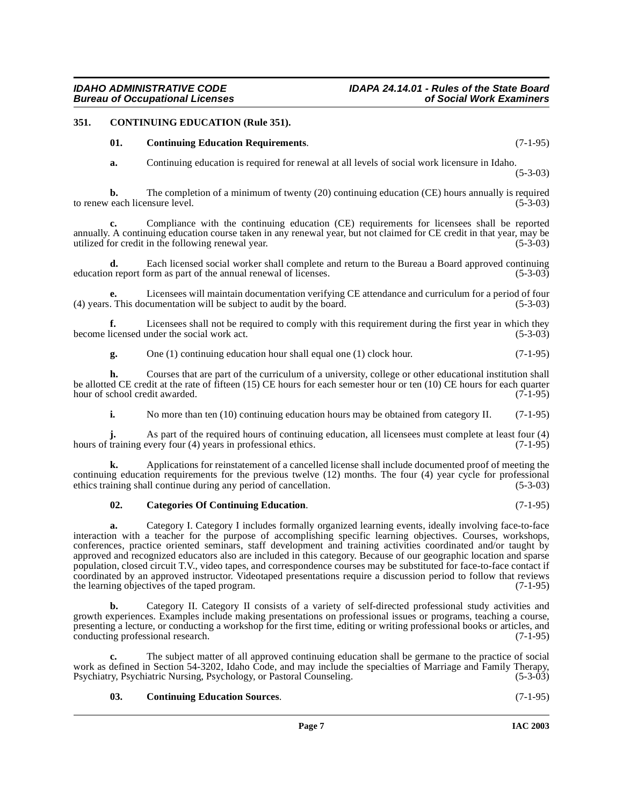# <span id="page-6-0"></span>**351. CONTINUING EDUCATION (Rule 351).**

### <span id="page-6-4"></span><span id="page-6-2"></span>**01. Continuing Education Requirements**. (7-1-95)

**a.** Continuing education is required for renewal at all levels of social work licensure in Idaho.

(5-3-03)

**b.** The completion of a minimum of twenty (20) continuing education (CE) hours annually is required to renew each licensure level. (5-3-03)

**c.** Compliance with the continuing education (CE) requirements for licensees shall be reported annually. A continuing education course taken in any renewal year, but not claimed for CE credit in that year, may be utilized for credit in the following renewal year. (5-3-03)

**d.** Each licensed social worker shall complete and return to the Bureau a Board approved continuing n report form as part of the annual renewal of licenses. (5-3-03) education report form as part of the annual renewal of licenses.

Licensees will maintain documentation verifying CE attendance and curriculum for a period of four cumentation will be subject to audit by the board. (5-3-03)  $(4)$  years. This documentation will be subject to audit by the board.

**f.** Licensees shall not be required to comply with this requirement during the first year in which they licensed under the social work act.  $(5-3-03)$ become licensed under the social work act.

**g.** One (1) continuing education hour shall equal one (1) clock hour. (7-1-95)

**h.** Courses that are part of the curriculum of a university, college or other educational institution shall be allotted CE credit at the rate of fifteen (15) CE hours for each semester hour or ten (10) CE hours for each quarter hour of school credit awarded. (7-1-95) hour of school credit awarded.

**i.** No more than ten (10) continuing education hours may be obtained from category II. (7-1-95)

**j.** As part of the required hours of continuing education, all licensees must complete at least four (4) hours of training every four (4) years in professional ethics. (7-1-95)

**k.** Applications for reinstatement of a cancelled license shall include documented proof of meeting the continuing education requirements for the previous twelve (12) months. The four (4) year cycle for professional ethics training shall continue during any period of cancellation. (5-3-03) ethics training shall continue during any period of cancellation.

#### <span id="page-6-1"></span>**02. Categories Of Continuing Education**. (7-1-95)

**a.** Category I. Category I includes formally organized learning events, ideally involving face-to-face interaction with a teacher for the purpose of accomplishing specific learning objectives. Courses, workshops, conferences, practice oriented seminars, staff development and training activities coordinated and/or taught by approved and recognized educators also are included in this category. Because of our geographic location and sparse population, closed circuit T.V., video tapes, and correspondence courses may be substituted for face-to-face contact if coordinated by an approved instructor. Videotaped presentations require a discussion period to follow that reviews the learning objectives of the taped program. (7-1-95) the learning objectives of the taped program.

**b.** Category II. Category II consists of a variety of self-directed professional study activities and growth experiences. Examples include making presentations on professional issues or programs, teaching a course, presenting a lecture, or conducting a workshop for the first time, editing or writing professional books or articles, and conducting professional research. conducting professional research.

**c.** The subject matter of all approved continuing education shall be germane to the practice of social work as defined in Section 54-3202, Idaho Code, and may include the specialties of Marriage and Family Therapy,<br>Psychiatry, Psychiatric Nursing, Psychology, or Pastoral Counseling. (5-3-03) Psychiatry, Psychiatric Nursing, Psychology, or Pastoral Counseling.

#### <span id="page-6-3"></span>**03. Continuing Education Sources**. (7-1-95)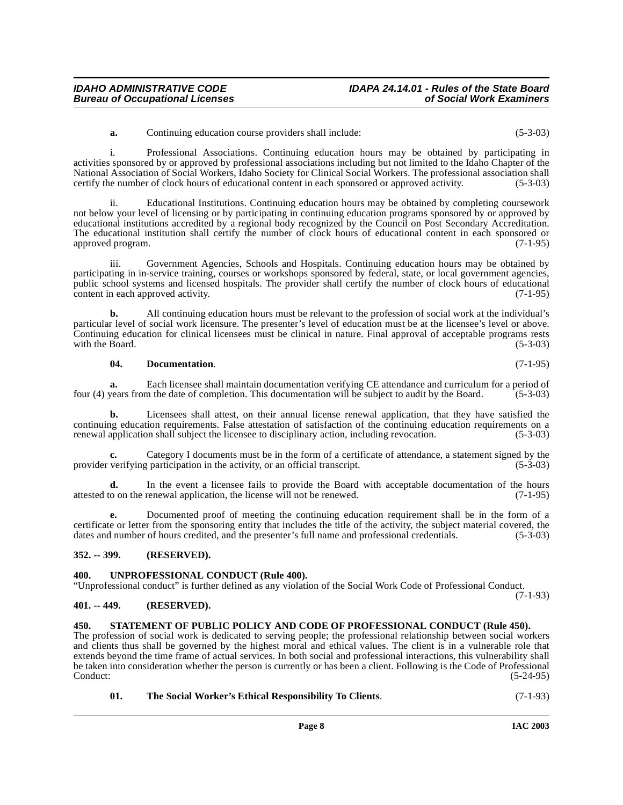i. Professional Associations. Continuing education hours may be obtained by participating in activities sponsored by or approved by professional associations including but not limited to the Idaho Chapter of the National Association of Social Workers, Idaho Society for Clinical Social Workers. The professional association shall certify the number of clock hours of educational content in each sponsored or approved activity. (5-3-03)

ii. Educational Institutions. Continuing education hours may be obtained by completing coursework not below your level of licensing or by participating in continuing education programs sponsored by or approved by educational institutions accredited by a regional body recognized by the Council on Post Secondary Accreditation. The educational institution shall certify the number of clock hours of educational content in each sponsored or approved program. (7-1-95)

iii. Government Agencies, Schools and Hospitals. Continuing education hours may be obtained by participating in in-service training, courses or workshops sponsored by federal, state, or local government agencies, public school systems and licensed hospitals. The provider shall certify the number of clock hours of educational content in each approved activity. (7-1-95)

**b.** All continuing education hours must be relevant to the profession of social work at the individual's particular level of social work licensure. The presenter's level of education must be at the licensee's level or above. Continuing education for clinical licensees must be clinical in nature. Final approval of acceptable programs rests with the Board.

#### <span id="page-7-4"></span>**04. Documentation**. (7-1-95)

**Bureau of Occupational Licenses** 

**a.** Each licensee shall maintain documentation verifying CE attendance and curriculum for a period of four (4) years from the date of completion. This documentation will be subject to audit by the Board. (5-3-03)

**b.** Licensees shall attest, on their annual license renewal application, that they have satisfied the continuing education requirements. False attestation of satisfaction of the continuing education requirements on a renewal application shall subject the licensee to disciplinary action, including revocation. (5-3-03) renewal application shall subject the licensee to disciplinary action, including revocation.

**c.** Category I documents must be in the form of a certificate of attendance, a statement signed by the verifying participation in the activity, or an official transcript. (5-3-03) provider verifying participation in the activity, or an official transcript.

**d.** In the event a licensee fails to provide the Board with acceptable documentation of the hours attested to on the renewal application, the license will not be renewed. (7-1-95)

**e.** Documented proof of meeting the continuing education requirement shall be in the form of a certificate or letter from the sponsoring entity that includes the title of the activity, the subject material covered, the dates and number of hours credited, and the presenter's full name and professional credentials. (5-3-03)

# <span id="page-7-0"></span>**352. -- 399. (RESERVED).**

#### <span id="page-7-7"></span><span id="page-7-1"></span>**400. UNPROFESSIONAL CONDUCT (Rule 400).**

"Unprofessional conduct" is further defined as any violation of the Social Work Code of Professional Conduct. (7-1-93)

#### <span id="page-7-2"></span>**401. -- 449. (RESERVED).**

#### <span id="page-7-5"></span><span id="page-7-3"></span>**450. STATEMENT OF PUBLIC POLICY AND CODE OF PROFESSIONAL CONDUCT (Rule 450).**

The profession of social work is dedicated to serving people; the professional relationship between social workers and clients thus shall be governed by the highest moral and ethical values. The client is in a vulnerable role that extends beyond the time frame of actual services. In both social and professional interactions, this vulnerability shall be taken into consideration whether the person is currently or has been a client. Following is the Code of Professional  $\text{Conduct:}$  (5-24-95)

<span id="page-7-6"></span>

| - 01. | The Social Worker's Ethical Responsibility To Clients. | $(7-1-93)$ |
|-------|--------------------------------------------------------|------------|
|-------|--------------------------------------------------------|------------|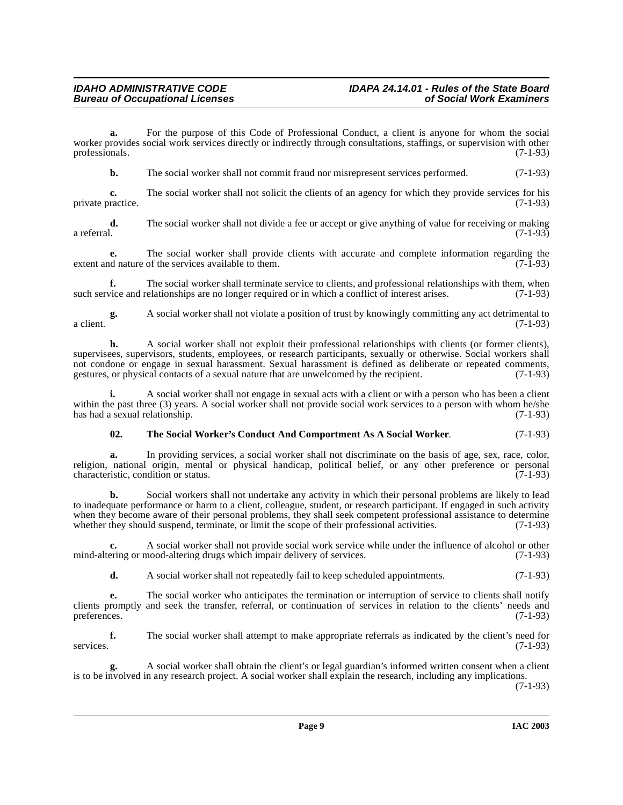**a.** For the purpose of this Code of Professional Conduct, a client is anyone for whom the social worker provides social work services directly or indirectly through consultations, staffings, or supervision with other professionals. (7-1-93) professionals. (7-1-93)

**b.** The social worker shall not commit fraud nor misrepresent services performed. (7-1-93)

**c.** The social worker shall not solicit the clients of an agency for which they provide services for his private practice. (7-1-93)

**d.** The social worker shall not divide a fee or accept or give anything of value for receiving or making a referral. (7-1-93) a referral.  $(7-1-93)$ 

**e.** The social worker shall provide clients with accurate and complete information regarding the desired nature of the services available to them. (7-1-93) extent and nature of the services available to them.

**f.** The social worker shall terminate service to clients, and professional relationships with them, when such service and relationships are no longer required or in which a conflict of interest arises. (7-1-93)

**g.** A social worker shall not violate a position of trust by knowingly committing any act detrimental to a client.  $(7-1-93)$ 

**h.** A social worker shall not exploit their professional relationships with clients (or former clients), supervisees, supervisors, students, employees, or research participants, sexually or otherwise. Social workers shall not condone or engage in sexual harassment. Sexual harassment is defined as deliberate or repeated comments, gestures, or physical contacts of a sexual nature that are unwelcomed by the recipient. (7-1-93)

**i.** A social worker shall not engage in sexual acts with a client or with a person who has been a client within the past three (3) years. A social worker shall not provide social work services to a person with whom he/she has had a sexual relationship. (7-1-93) has had a sexual relationship.

# <span id="page-8-0"></span>**02. The Social Worker's Conduct And Comportment As A Social Worker**. (7-1-93)

**a.** In providing services, a social worker shall not discriminate on the basis of age, sex, race, color, religion, national origin, mental or physical handicap, political belief, or any other preference or personal characteristic, condition or status. (7-1-93) characteristic, condition or status.

**b.** Social workers shall not undertake any activity in which their personal problems are likely to lead to inadequate performance or harm to a client, colleague, student, or research participant. If engaged in such activity when they become aware of their personal problems, they shall seek competent professional assistance to determine whether they should suspend, terminate, or limit the scope of their professional activities. (7-1-93)

**c.** A social worker shall not provide social work service while under the influence of alcohol or other mind-altering or mood-altering drugs which impair delivery of services. (7-1-93)

**d.** A social worker shall not repeatedly fail to keep scheduled appointments. (7-1-93)

**e.** The social worker who anticipates the termination or interruption of service to clients shall notify clients promptly and seek the transfer, referral, or continuation of services in relation to the clients' needs and preferences.  $(7-1-93)$ 

**f.** The social worker shall attempt to make appropriate referrals as indicated by the client's need for services. (7-1-93)

**g.** A social worker shall obtain the client's or legal guardian's informed written consent when a client is to be involved in any research project. A social worker shall explain the research, including any implications. (7-1-93)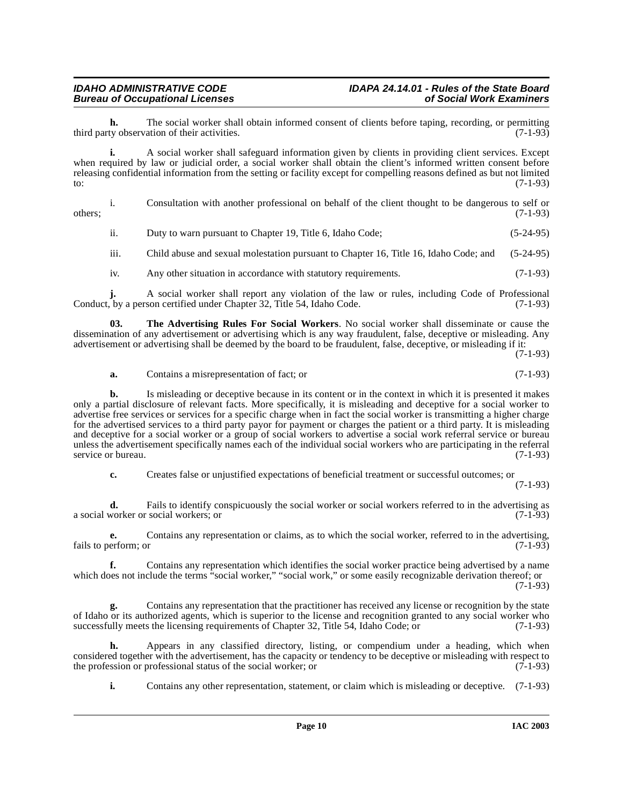**h.** The social worker shall obtain informed consent of clients before taping, recording, or permitting ty observation of their activities. (7-1-93) third party observation of their activities.

**i.** A social worker shall safeguard information given by clients in providing client services. Except when required by law or judicial order, a social worker shall obtain the client's informed written consent before releasing confidential information from the setting or facility except for compelling reasons defined as but not limited to:  $(7-1-93)$ 

i. Consultation with another professional on behalf of the client thought to be dangerous to self or  $\omega$  others;  $(7-1-93)$ 

ii. Duty to warn pursuant to Chapter 19, Title 6, Idaho Code; (5-24-95)

iii. Child abuse and sexual molestation pursuant to Chapter 16, Title 16, Idaho Code; and (5-24-95)

<span id="page-9-0"></span>iv. Any other situation in accordance with statutory requirements. (7-1-93)

**j.** A social worker shall report any violation of the law or rules, including Code of Professional Conduct, by a person certified under Chapter 32, Title 54, Idaho Code.

**03. The Advertising Rules For Social Workers**. No social worker shall disseminate or cause the dissemination of any advertisement or advertising which is any way fraudulent, false, deceptive or misleading. Any advertisement or advertising shall be deemed by the board to be fraudulent, false, deceptive, or misleading if it:

 $(7-1-93)$ 

### **a.** Contains a misrepresentation of fact; or (7-1-93)

**b.** Is misleading or deceptive because in its content or in the context in which it is presented it makes only a partial disclosure of relevant facts. More specifically, it is misleading and deceptive for a social worker to advertise free services or services for a specific charge when in fact the social worker is transmitting a higher charge for the advertised services to a third party payor for payment or charges the patient or a third party. It is misleading and deceptive for a social worker or a group of social workers to advertise a social work referral service or bureau unless the advertisement specifically names each of the individual social workers who are participating in the referral service or bureau. (7-1-93)

**c.** Creates false or unjustified expectations of beneficial treatment or successful outcomes; or

(7-1-93)

**d.** Fails to identify conspicuously the social worker or social workers referred to in the advertising as worker or social workers; or (7-1-93) a social worker or social workers; or

**e.** Contains any representation or claims, as to which the social worker, referred to in the advertising, fails to perform; or (7-1-93)

**f.** Contains any representation which identifies the social worker practice being advertised by a name which does not include the terms "social worker," "social work," or some easily recognizable derivation thereof; or (7-1-93)

**g.** Contains any representation that the practitioner has received any license or recognition by the state of Idaho or its authorized agents, which is superior to the license and recognition granted to any social worker who successfully meets the licensing requirements of Chapter 32, Title 54, Idaho Code; or (7-1-93) successfully meets the licensing requirements of Chapter 32, Title 54, Idaho Code; or

**h.** Appears in any classified directory, listing, or compendium under a heading, which when considered together with the advertisement, has the capacity or tendency to be deceptive or misleading with respect to the profession or professional status of the social worker; or (7-1-93) the profession or professional status of the social worker; or

**i.** Contains any other representation, statement, or claim which is misleading or deceptive. (7-1-93)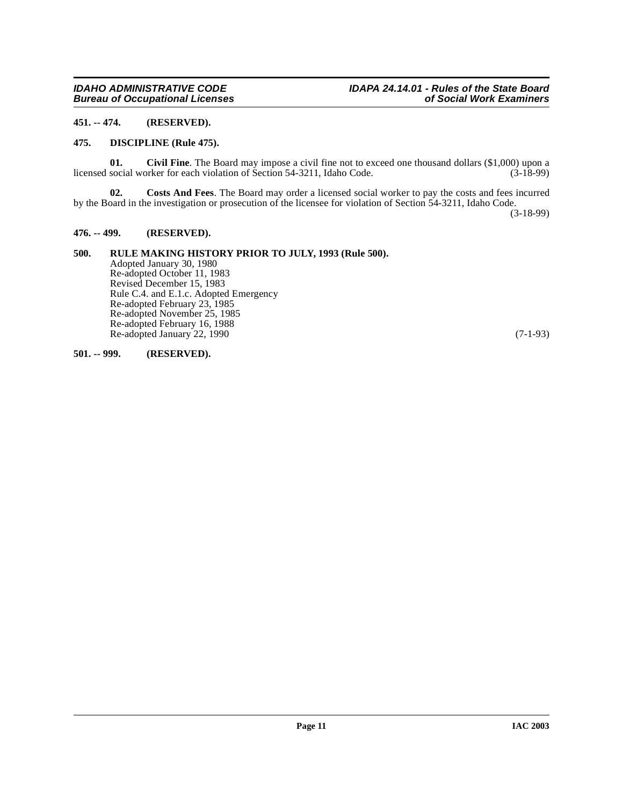# <span id="page-10-0"></span>**451. -- 474. (RESERVED).**

# <span id="page-10-7"></span><span id="page-10-1"></span>**475. DISCIPLINE (Rule 475).**

<span id="page-10-5"></span>**01.** Civil Fine. The Board may impose a civil fine not to exceed one thousand dollars (\$1,000) upon a social worker for each violation of Section 54-3211, Idaho Code. (3-18-99) licensed social worker for each violation of Section 54-3211, Idaho Code.

<span id="page-10-6"></span>**02. Costs And Fees**. The Board may order a licensed social worker to pay the costs and fees incurred by the Board in the investigation or prosecution of the licensee for violation of Section 54-3211, Idaho Code.

(3-18-99)

# <span id="page-10-2"></span>**476. -- 499. (RESERVED).**

# <span id="page-10-3"></span>**500. RULE MAKING HISTORY PRIOR TO JULY, 1993 (Rule 500).**

Adopted January 30, 1980 Re-adopted October 11, 1983 Revised December 15, 1983 Rule C.4. and E.1.c. Adopted Emergency Re-adopted February 23, 1985 Re-adopted November 25, 1985 Re-adopted February 16, 1988 Re-adopted January 22, 1990 (7-1-93)

### <span id="page-10-4"></span>**501. -- 999. (RESERVED).**